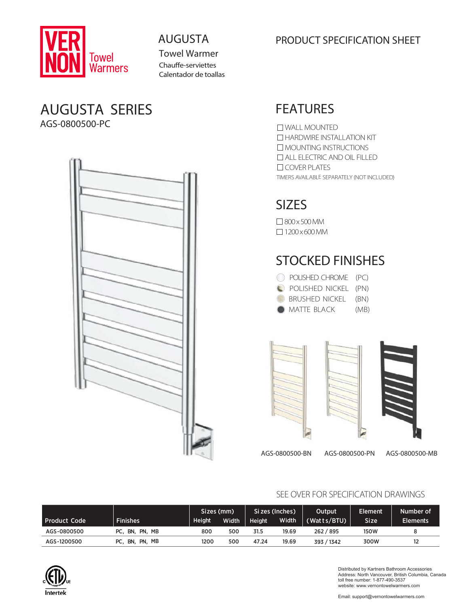

Towel Warmer Chauffe-serviettes Calentador de toallas

## AUGUSTA SERIES AGS-0800500-PC



## AUGUSTA PRODUCT SPECIFICATION SHEET

# FEATURES

TIMERS AVAILABLE SEPARATELY (NOT INCLUDED) WALL MOUNTED **HARDWIRE INSTALLATION KIT** MOUNTING INSTRUCTIONS ALL ELECTRIC AND OIL FILLED COVER PLATES

# SIZES

800x500MM  $\Box$  1200 × 600 MM

# STOCKED FINISHES

| POLISHED CHROME (PC)  |      |
|-----------------------|------|
| POLISHED NICKEL (PN)  |      |
| BRUSHED NICKEL (BN)   |      |
| $\bullet$ MATTE BLACK | (MB) |



AGS-0800500-BN AGS-0800500-PN AGS-0800500-MB

### SEE OVER FOR SPECIFICATION DRAWINGS

|                     |                        | Sizes (mm)    |              | Si zes (Inches) |       | Output      | Element     | Number of       |
|---------------------|------------------------|---------------|--------------|-----------------|-------|-------------|-------------|-----------------|
| <b>Product Code</b> | <b>Finishes</b>        | <b>Height</b> | <b>Width</b> | Height          | Width | (Watts/BTU) | <b>Size</b> | <b>Elements</b> |
| AGS-0800500         | PC.<br>. BN. PN. MB    | 800           | 500          | 31.5            | 19.69 | 262 / 895   | <b>150W</b> | 8               |
| AGS-1200500         | PN, MB<br>PC.<br>ີ BN. | 1200          | 500          | 47.24           | 19.69 | 393 / 1342  | 300W        | 12              |



Distributed by Kartners Bathroom Accessories Address: North Vancouver, British Columbia, Canada toll free number: 1-877-490-3537 website: www.vernontowelwarmers.com